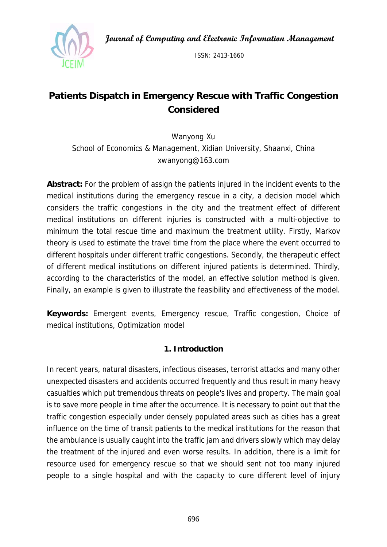**Journal of Computing and Electronic Information Management** 



ISSN: 2413-1660

# **Patients Dispatch in Emergency Rescue with Traffic Congestion Considered**

Wanyong Xu School of Economics & Management, Xidian University, Shaanxi, China xwanyong@163.com

**Abstract:** For the problem of assign the patients injured in the incident events to the medical institutions during the emergency rescue in a city, a decision model which considers the traffic congestions in the city and the treatment effect of different medical institutions on different injuries is constructed with a multi-objective to minimum the total rescue time and maximum the treatment utility. Firstly, Markov theory is used to estimate the travel time from the place where the event occurred to different hospitals under different traffic congestions. Secondly, the therapeutic effect of different medical institutions on different injured patients is determined. Thirdly, according to the characteristics of the model, an effective solution method is given. Finally, an example is given to illustrate the feasibility and effectiveness of the model.

**Keywords:** Emergent events, Emergency rescue, Traffic congestion, Choice of medical institutions, Optimization model

## **1. Introduction**

In recent years, natural disasters, infectious diseases, terrorist attacks and many other unexpected disasters and accidents occurred frequently and thus result in many heavy casualties which put tremendous threats on people's lives and property. The main goal is to save more people in time after the occurrence. It is necessary to point out that the traffic congestion especially under densely populated areas such as cities has a great influence on the time of transit patients to the medical institutions for the reason that the ambulance is usually caught into the traffic jam and drivers slowly which may delay the treatment of the injured and even worse results. In addition, there is a limit for resource used for emergency rescue so that we should sent not too many injured people to a single hospital and with the capacity to cure different level of injury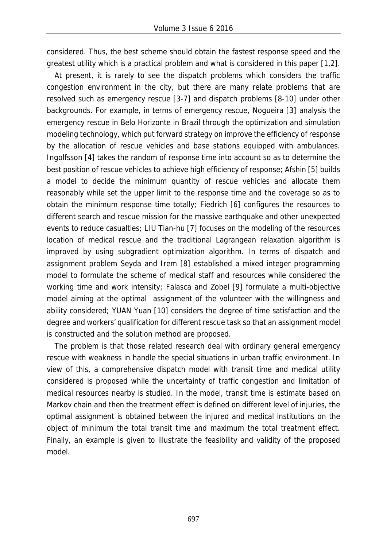considered. Thus, the best scheme should obtain the fastest response speed and the greatest utility which is a practical problem and what is considered in this paper [1,2].

At present, it is rarely to see the dispatch problems which considers the traffic congestion environment in the city, but there are many relate problems that are resolved such as emergency rescue [3-7] and dispatch problems [8-10] under other backgrounds. For example, in terms of emergency rescue, Nogueira [3] analysis the emergency rescue in Belo Horizonte in Brazil through the optimization and simulation modeling technology, which put forward strategy on improve the efficiency of response by the allocation of rescue vehicles and base stations equipped with ambulances. Ingolfsson [4] takes the random of response time into account so as to determine the best position of rescue vehicles to achieve high efficiency of response; Afshin [5] builds a model to decide the minimum quantity of rescue vehicles and allocate them reasonably while set the upper limit to the response time and the coverage so as to obtain the minimum response time totally; Fiedrich [6] configures the resources to different search and rescue mission for the massive earthquake and other unexpected events to reduce casualties; LIU Tian-hu [7] focuses on the modeling of the resources location of medical rescue and the traditional Lagrangean relaxation algorithm is improved by using subgradient optimization algorithm. In terms of dispatch and assignment problem Seyda and Irem [8] established a mixed integer programming model to formulate the scheme of medical staff and resources while considered the working time and work intensity; Falasca and Zobel [9] formulate a multi-objective model aiming at the optimal assignment of the volunteer with the willingness and ability considered; YUAN Yuan [10] considers the degree of time satisfaction and the degree and workers' qualification for different rescue task so that an assignment model is constructed and the solution method are proposed.

The problem is that those related research deal with ordinary general emergency rescue with weakness in handle the special situations in urban traffic environment. In view of this, a comprehensive dispatch model with transit time and medical utility considered is proposed while the uncertainty of traffic congestion and limitation of medical resources nearby is studied. In the model, transit time is estimate based on Markov chain and then the treatment effect is defined on different level of injuries, the optimal assignment is obtained between the injured and medical institutions on the object of minimum the total transit time and maximum the total treatment effect. Finally, an example is given to illustrate the feasibility and validity of the proposed model.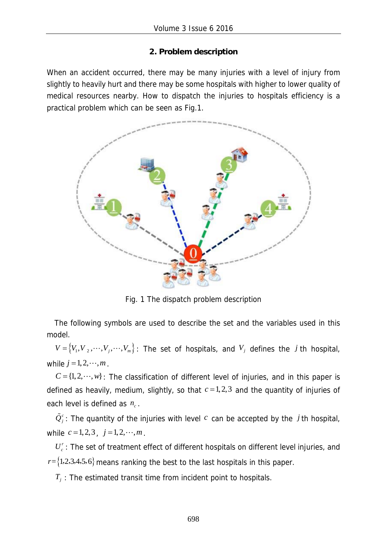## **2. Problem description**

When an accident occurred, there may be many injuries with a level of injury from slightly to heavily hurt and there may be some hospitals with higher to lower quality of medical resources nearby. How to dispatch the injuries to hospitals efficiency is a practical problem which can be seen as Fig.1.



Fig. 1 The dispatch problem description

The following symbols are used to describe the set and the variables used in this model.

 $V = \{V_1, V_2, \dots, V_j, \dots, V_m\}$ : The set of hospitals, and  $V_j$  defines the *j* th hospital, while  $j = 1, 2, \dots, m$ .

 $C = \{1, 2, \dots, w\}$ : The classification of different level of injuries, and in this paper is defined as heavily, medium, slightly, so that  $c = 1, 2, 3$  and the quantity of injuries of each level is defined as  $n_c$ .

 $\tilde{\mathcal{Q}}_j^c$ : The quantity of the injuries with level  $c$  can be accepted by the  $j$  th hospital, while  $c = 1, 2, 3$ ,  $j = 1, 2, \dots, m$ .

 $U_c^r$ : The set of treatment effect of different hospitals on different level injuries, and  $r = \{1, 2, 3, 4, 5, 6\}$  means ranking the best to the last hospitals in this paper.

 $T_i$ : The estimated transit time from incident point to hospitals.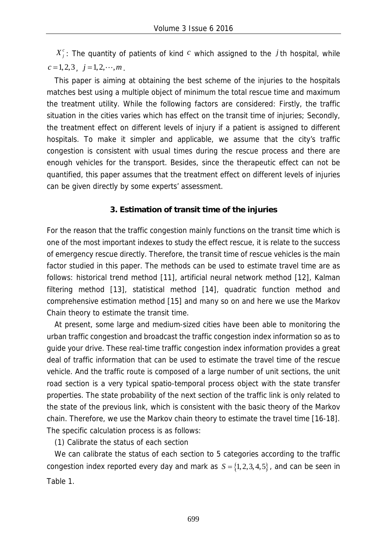$X_i^c$ : The quantity of patients of kind  $c$  which assigned to the *j* th hospital, while  $c = 1, 2, 3, j = 1, 2, \cdots, m$ .

This paper is aiming at obtaining the best scheme of the injuries to the hospitals matches best using a multiple object of minimum the total rescue time and maximum the treatment utility. While the following factors are considered: Firstly, the traffic situation in the cities varies which has effect on the transit time of injuries; Secondly, the treatment effect on different levels of injury if a patient is assigned to different hospitals. To make it simpler and applicable, we assume that the city's traffic congestion is consistent with usual times during the rescue process and there are enough vehicles for the transport. Besides, since the therapeutic effect can not be quantified, this paper assumes that the treatment effect on different levels of injuries can be given directly by some experts' assessment.

### **3. Estimation of transit time of the injuries**

For the reason that the traffic congestion mainly functions on the transit time which is one of the most important indexes to study the effect rescue, it is relate to the success of emergency rescue directly. Therefore, the transit time of rescue vehicles is the main factor studied in this paper. The methods can be used to estimate travel time are as follows: historical trend method [11], artificial neural network method [12], Kalman filtering method [13], statistical method [14], quadratic function method and comprehensive estimation method [15] and many so on and here we use the Markov Chain theory to estimate the transit time.

At present, some large and medium-sized cities have been able to monitoring the urban traffic congestion and broadcast the traffic congestion index information so as to guide your drive. These real-time traffic congestion index information provides a great deal of traffic information that can be used to estimate the travel time of the rescue vehicle. And the traffic route is composed of a large number of unit sections, the unit road section is a very typical spatio-temporal process object with the state transfer properties. The state probability of the next section of the traffic link is only related to the state of the previous link, which is consistent with the basic theory of the Markov chain. Therefore, we use the Markov chain theory to estimate the travel time [16-18]. The specific calculation process is as follows:

(1) Calibrate the status of each section

We can calibrate the status of each section to 5 categories according to the traffic congestion index reported every day and mark as  $S = \{1, 2, 3, 4, 5\}$ , and can be seen in Table 1.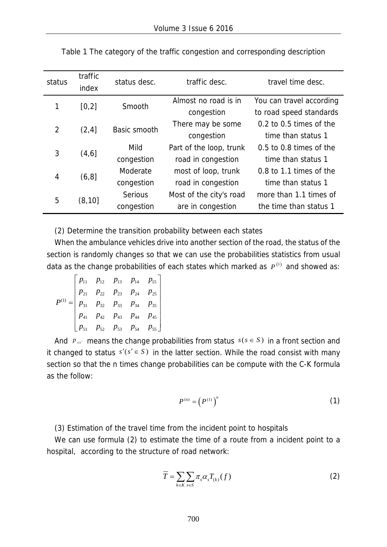| status | traffic<br>status desc.<br>index |                | traffic desc.           | travel time desc.           |  |  |
|--------|----------------------------------|----------------|-------------------------|-----------------------------|--|--|
| 1      | [0,2]                            | Smooth         | Almost no road is in    | You can travel according    |  |  |
|        |                                  |                | congestion              | to road speed standards     |  |  |
| 2      | (2, 4]                           | Basic smooth   | There may be some       | $0.2$ to 0.5 times of the   |  |  |
|        |                                  |                | congestion              | time than status 1          |  |  |
| 3      | (4, 6]                           | Mild           | Part of the loop, trunk | $0.5$ to $0.8$ times of the |  |  |
|        |                                  | congestion     | road in congestion      | time than status 1          |  |  |
|        | (6, 8]                           | Moderate       | most of loop, trunk     | 0.8 to 1.1 times of the     |  |  |
| 4      |                                  | congestion     | road in congestion      | time than status 1          |  |  |
| 5      |                                  | <b>Serious</b> | Most of the city's road | more than 1.1 times of      |  |  |
|        | (8, 10]                          | congestion     | are in congestion       | the time than status 1      |  |  |

Table 1 The category of the traffic congestion and corresponding description

(2) Determine the transition probability between each states

When the ambulance vehicles drive into another section of the road, the status of the section is randomly changes so that we can use the probabilities statistics from usual data as the change probabilities of each states which marked as  $P^{(1)}$  and showed as:

$$
P^{(1)} = \begin{bmatrix} p_{11} & p_{12} & p_{13} & p_{14} & p_{15} \\ p_{21} & p_{22} & p_{23} & p_{24} & p_{25} \\ p_{31} & p_{32} & p_{33} & p_{34} & p_{35} \\ p_{41} & p_{42} & p_{43} & p_{44} & p_{45} \\ p_{51} & p_{52} & p_{53} & p_{54} & p_{55} \end{bmatrix}
$$

And  $p_{ss'}$  means the change probabilities from status  $s(s \in S)$  in a front section and it changed to status  $s'(s' \in S)$  in the latter section. While the road consist with many section so that the n times change probabilities can be compute with the C-K formula as the follow:

$$
P^{(n)} = \left(P^{(1)}\right)^n \tag{1}
$$

(3) Estimation of the travel time from the incident point to hospitals

We can use formula (2) to estimate the time of a route from a incident point to a hospital, according to the structure of road network:

$$
\overline{T} = \sum_{k \in K} \sum_{s \in S} \pi_s \alpha_s T_{(k)}(f) \tag{2}
$$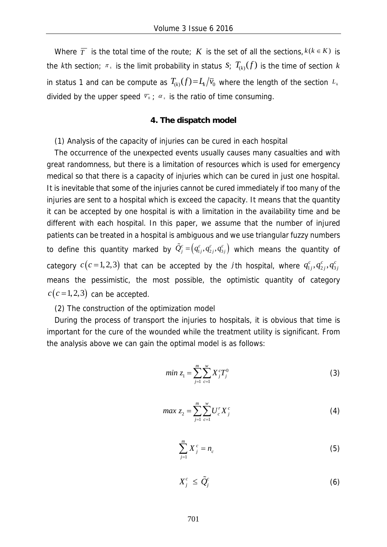Where  $\overline{T}$  is the total time of the route; *K* is the set of all the sections,  $k(k \in K)$  is the *k*th section;  $\pi$ , is the limit probability in status  $S$ ;  $T_{(k)}(f)$  is the time of section *k* in status 1 and can be compute as  $T_{k} f(t) = L_k / \bar{v}_0$  where the length of the section  $L_k$ divided by the upper speed  $\overline{v}_0$ ;  $\alpha_s$  is the ratio of time consuming.

#### **4. The dispatch model**

(1) Analysis of the capacity of injuries can be cured in each hospital

The occurrence of the unexpected events usually causes many casualties and with great randomness, but there is a limitation of resources which is used for emergency medical so that there is a capacity of injuries which can be cured in just one hospital. It is inevitable that some of the injuries cannot be cured immediately if too many of the injuries are sent to a hospital which is exceed the capacity. It means that the quantity it can be accepted by one hospital is with a limitation in the availability time and be different with each hospital. In this paper, we assume that the number of injured patients can be treated in a hospital is ambiguous and we use triangular fuzzy numbers to define this quantity marked by  $\tilde{Q}_{j}^{c} = (q_{1j}^{c}, q_{2j}^{c}, q_{3j}^{c})$  which means the quantity of category  $c(c=1,2,3)$  that can be accepted by the *j* th hospital, where  $q_{1j}^c, q_{2j}^c, q_{3j}^c$ means the pessimistic, the most possible, the optimistic quantity of category  $c(c=1,2,3)$  can be accepted.

#### (2) The construction of the optimization model

During the process of transport the injuries to hospitals, it is obvious that time is important for the cure of the wounded while the treatment utility is significant. From the analysis above we can gain the optimal model is as follows:

min 
$$
z_1 = \sum_{j=1}^{m} \sum_{c=1}^{w} X_j^c T_j^0
$$
 (3)

$$
max z_2 = \sum_{j=1}^{m} \sum_{c=1}^{w} U_c^r X_j^c
$$
 (4)

$$
\sum_{j=1}^{m} X_j^c = n_c \tag{5}
$$

$$
X_j^c \leq \tilde{Q}_j^c \tag{6}
$$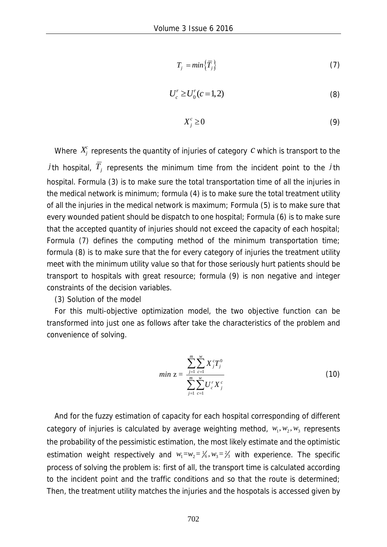$$
T_j = min\left\{\overline{T}_j\right\} \tag{7}
$$

$$
U_c^r \ge U_0^r(c=1,2)
$$
 (8)

$$
X_j^c \ge 0 \tag{9}
$$

Where  $X_j^c$  represents the quantity of injuries of category  $c$  which is transport to the *j*th hospital,  $\overline{T}_i$  represents the minimum time from the incident point to the *j*th hospital. Formula (3) is to make sure the total transportation time of all the injuries in the medical network is minimum; formula (4) is to make sure the total treatment utility of all the injuries in the medical network is maximum; Formula (5) is to make sure that every wounded patient should be dispatch to one hospital; Formula (6) is to make sure that the accepted quantity of injuries should not exceed the capacity of each hospital; Formula (7) defines the computing method of the minimum transportation time; formula (8) is to make sure that the for every category of injuries the treatment utility meet with the minimum utility value so that for those seriously hurt patients should be transport to hospitals with great resource; formula (9) is non negative and integer constraints of the decision variables.

(3) Solution of the model

For this multi-objective optimization model, the two objective function can be transformed into just one as follows after take the characteristics of the problem and convenience of solving.

$$
min Z = \frac{\sum_{j=1}^{m} \sum_{c=1}^{w} X_j^c T_j^0}{\sum_{j=1}^{m} \sum_{c=1}^{w} U_c^r X_j^c}
$$
 (10)

And for the fuzzy estimation of capacity for each hospital corresponding of different category of injuries is calculated by average weighting method,  $w_1, w_2, w_3$  represents the probability of the pessimistic estimation, the most likely estimate and the optimistic estimation weight respectively and  $w_1 = w_2 = \frac{1}{6}$ ,  $w_3 = \frac{2}{3}$  with experience. The specific process of solving the problem is: first of all, the transport time is calculated according to the incident point and the traffic conditions and so that the route is determined; Then, the treatment utility matches the injuries and the hospotals is accessed given by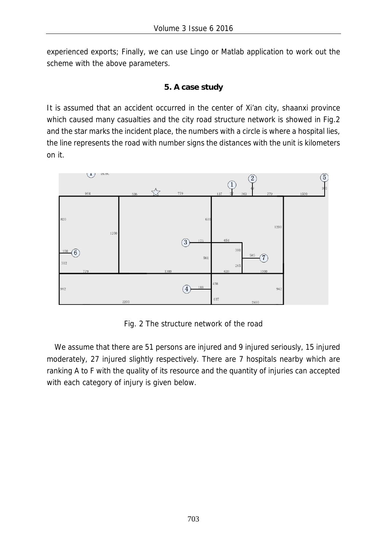experienced exports; Finally, we can use Lingo or Matlab application to work out the scheme with the above parameters.

# **5. A case study**

It is assumed that an accident occurred in the center of Xi'an city, shaanxi province which caused many casualties and the city road structure network is showed in Fig.2 and the star marks the incident place, the numbers with a circle is where a hospital lies, the line represents the road with number signs the distances with the unit is kilometers on it.



Fig. 2 The structure network of the road

We assume that there are 51 persons are injured and 9 injured seriously, 15 injured moderately, 27 injured slightly respectively. There are 7 hospitals nearby which are ranking A to F with the quality of its resource and the quantity of injuries can accepted with each category of injury is given below.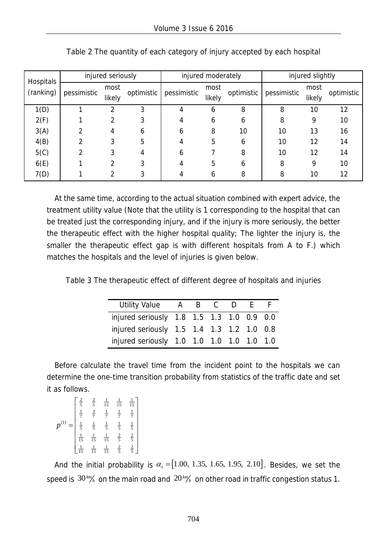| <b>Hospitals</b><br>(ranking) | injured seriously |        |            |              | injured moderately |            | injured slightly |        |            |
|-------------------------------|-------------------|--------|------------|--------------|--------------------|------------|------------------|--------|------------|
|                               | pessimistic       | most   | optimistic | pessimistic  | most               | optimistic | pessimistic      | most   | optimistic |
|                               |                   | likely |            |              | likely             |            |                  | likely |            |
| 1(D)                          |                   |        | 3          | 4            | 6                  | 8          | 8                | 10     | 12         |
| 2(F)                          |                   |        |            |              | 6                  | 6          | 8                | 9      | 10         |
| 3(A)                          |                   |        | 6          | 6            | 8                  | 10         | 10               | 13     | 16         |
| 4(B)                          |                   |        | 5          |              | 5                  | 6          | 10               | 12     | 14         |
| 5(C)                          |                   |        |            | <sub>b</sub> |                    | 8          | 10               | 12     | 14         |
| 6(E)                          |                   |        |            |              | 5                  | 6          | 8                | 9      | 10         |
| 7(D)                          |                   |        |            |              | h                  | 8          | 8                | 10     | 12         |

| Table 2 The quantity of each category of injury accepted by each hospital |  |  |
|---------------------------------------------------------------------------|--|--|
|                                                                           |  |  |

At the same time, according to the actual situation combined with expert advice, the treatment utility value (Note that the utility is 1 corresponding to the hospital that can be treated just the corresponding injury, and if the injury is more seriously, the better the therapeutic effect with the higher hospital quality; The lighter the injury is, the smaller the therapeutic effect gap is with different hospitals from A to F.) which matches the hospitals and the level of injuries is given below.

Table 3 The therapeutic effect of different degree of hospitals and injuries

| <b>Utility Value</b>                      | A B C |  | D | $\mathsf{F}$ |  |
|-------------------------------------------|-------|--|---|--------------|--|
| injured seriously 1.8 1.5 1.3 1.0 0.9 0.0 |       |  |   |              |  |
| injured seriously 1.5 1.4 1.3 1.2 1.0 0.8 |       |  |   |              |  |
| injured seriously 1.0 1.0 1.0 1.0 1.0 1.0 |       |  |   |              |  |

Before calculate the travel time from the incident point to the hospitals we can determine the one-time transition probability from statistics of the traffic date and set it as follows.

| $rac{2}{5}$    | $rac{2}{5}$    | $\frac{1}{15}$ | $\frac{1}{15}$                      | $rac{1}{15}$                              |
|----------------|----------------|----------------|-------------------------------------|-------------------------------------------|
| $\frac{1}{7}$  | $rac{3}{7}$    | $rac{1}{7}$    | $rac{1}{7}$                         | $\frac{1}{7}$                             |
| $\frac{1}{5}$  | $\frac{1}{5}$  | $\frac{1}{5}$  |                                     |                                           |
| $\frac{1}{15}$ | $\frac{1}{15}$ | $\frac{1}{15}$ | $rac{1}{5}$ $rac{2}{5}$ $rac{2}{5}$ | $\frac{1}{5}$ $\frac{2}{5}$ $\frac{2}{5}$ |
|                | $\frac{1}{15}$ | $\frac{1}{15}$ |                                     |                                           |

And the initial probability is  $\alpha_s = [1.00, 1.35, 1.65, 1.95, 2.10]$ . Besides, we set the speed is 30*km <sup>h</sup>* on the main road and 20*km h* on other road in traffic congestion status 1.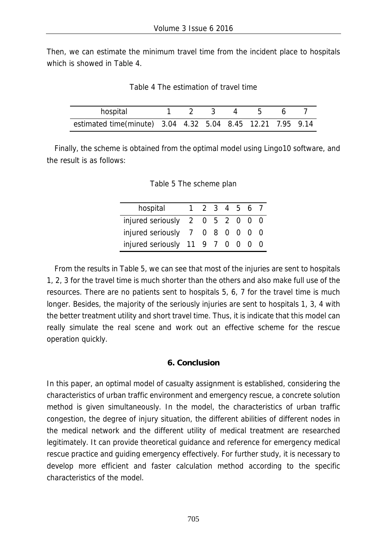Then, we can estimate the minimum travel time from the incident place to hospitals which is showed in Table 4.

Table 4 The estimation of travel time

| hospital                                                   |  |  | 1 2 3 4 5 6 7 |  |
|------------------------------------------------------------|--|--|---------------|--|
| estimated time(minute) 3.04 4.32 5.04 8.45 12.21 7.95 9.14 |  |  |               |  |

Finally, the scheme is obtained from the optimal model using Lingo10 software, and the result is as follows:

Table 5 The scheme plan

| hospital                         | $\mathbf{1}$ | 2 3 4 5 6 7 |  |  |
|----------------------------------|--------------|-------------|--|--|
|                                  |              |             |  |  |
| injured seriously 2 0 5 2 0 0 0  |              |             |  |  |
| injured seriously 7 0 8 0 0 0 0  |              |             |  |  |
| injured seriously 11 9 7 0 0 0 0 |              |             |  |  |

From the results in Table 5, we can see that most of the injuries are sent to hospitals 1, 2, 3 for the travel time is much shorter than the others and also make full use of the resources. There are no patients sent to hospitals 5, 6, 7 for the travel time is much longer. Besides, the majority of the seriously injuries are sent to hospitals 1, 3, 4 with the better treatment utility and short travel time. Thus, it is indicate that this model can really simulate the real scene and work out an effective scheme for the rescue operation quickly.

#### **6. Conclusion**

In this paper, an optimal model of casualty assignment is established, considering the characteristics of urban traffic environment and emergency rescue, a concrete solution method is given simultaneously. In the model, the characteristics of urban traffic congestion, the degree of injury situation, the different abilities of different nodes in the medical network and the different utility of medical treatment are researched legitimately. It can provide theoretical guidance and reference for emergency medical rescue practice and guiding emergency effectively. For further study, it is necessary to develop more efficient and faster calculation method according to the specific characteristics of the model.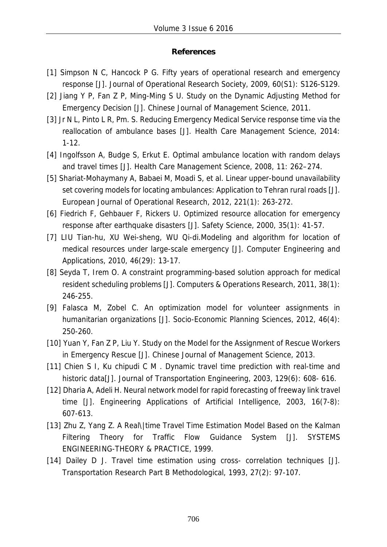### **References**

- [1] Simpson N C, Hancock P G. Fifty years of operational research and emergency response [J]. Journal of Operational Research Society, 2009, 60(S1): S126-S129.
- [2] Jiang Y P, Fan Z P, Ming-Ming S U. Study on the Dynamic Adjusting Method for Emergency Decision [J]. Chinese Journal of Management Science, 2011.
- [3] Jr N L, Pinto L R, Pm. S. Reducing Emergency Medical Service response time via the reallocation of ambulance bases [J]. Health Care Management Science, 2014: 1-12.
- [4] Ingolfsson A, Budge S, Erkut E. Optimal ambulance location with random delays and travel times [J]. Health Care Management Science, 2008, 11: 262–274.
- [5] Shariat-Mohaymany A, Babaei M, Moadi S, et al. Linear upper-bound unavailability set covering models for locating ambulances: Application to Tehran rural roads [J]. European Journal of Operational Research, 2012, 221(1): 263-272.
- [6] Fiedrich F, Gehbauer F, Rickers U. Optimized resource allocation for emergency response after earthquake disasters [J]. Safety Science, 2000, 35(1): 41-57.
- [7] LIU Tian-hu, XU Wei-sheng, WU Qi-di.Modeling and algorithm for location of medical resources under large-scale emergency [J]. Computer Engineering and Applications, 2010, 46(29): 13-17.
- [8] Seyda T, Irem O. A constraint programming-based solution approach for medical resident scheduling problems [J]. Computers & Operations Research, 2011, 38(1): 246-255.
- [9] Falasca M, Zobel C. An optimization model for volunteer assignments in humanitarian organizations [J]. Socio-Economic Planning Sciences, 2012, 46(4): 250-260.
- [10] Yuan Y, Fan Z P, Liu Y. Study on the Model for the Assignment of Rescue Workers in Emergency Rescue [J]. Chinese Journal of Management Science, 2013.
- [11] Chien S I, Ku chipudi C M . Dynamic travel time prediction with real-time and historic data[J]. Journal of Transportation Engineering, 2003, 129(6): 608- 616.
- [12] Dharia A, Adeli H. Neural network model for rapid forecasting of freeway link travel time [J]. Engineering Applications of Artificial Intelligence, 2003, 16(7-8): 607-613.
- [13] Zhu Z, Yang Z. A Real\|time Travel Time Estimation Model Based on the Kalman Filtering Theory for Traffic Flow Guidance System [J]. SYSTEMS ENGINEERING-THEORY & PRACTICE, 1999.
- [14] Dailey D J. Travel time estimation using cross- correlation techniques [J]. Transportation Research Part B Methodological, 1993, 27(2): 97-107.